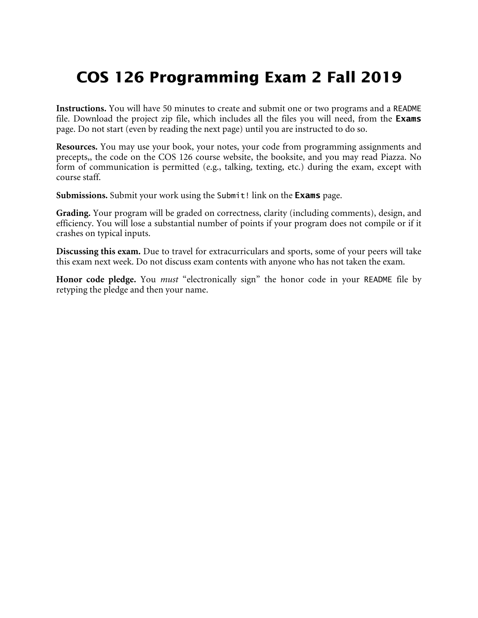## **COS 126 Programming Exam 2 Fall 2019**

**Instructions.** You will have 50 minutes to create and submit one or two programs and a README file. Download the project zip file, which includes all the files you will need, from the Exams page. Do not start (even by reading the next page) until you are instructed to do so.

**Resources.** You may use your book, your notes, your code from programming assignments and precepts,, the code on the COS 126 course website, the booksite, and you may read Piazza. No form of communication is permitted (e.g., talking, texting, etc.) during the exam, except with course staff.

Submissions. Submit your work using the Submit! link on the Exams page.

**Grading.** Your program will be graded on correctness, clarity (including comments), design, and efficiency. You will lose a substantial number of points if your program does not compile or if it crashes on typical inputs.

**Discussing this exam.** Due to travel for extracurriculars and sports, some of your peers will take this exam next week. Do not discuss exam contents with anyone who has not taken the exam.

**Honor code pledge.** You *must* "electronically sign" the honor code in your README file by retyping the pledge and then your name.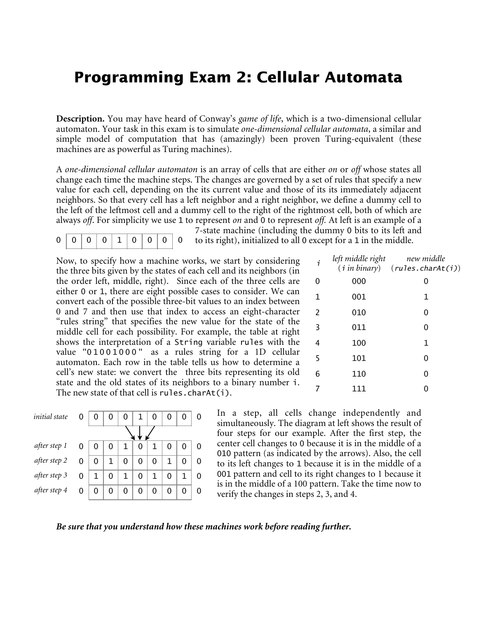## **Programming Exam 2: Cellular Automata**

**Description.** You may have heard of Conway's *game of life*, which is a two-dimensional cellular automaton. Your task in this exam is to simulate *one-dimensional cellular automata*, a similar and simple model of computation that has (amazingly) been proven Turing-equivalent (these machines are as powerful as Turing machines).

A *one-dimensional cellular automaton* is an array of cells that are either *on* or *off* whose states all change each time the machine steps. The changes are governed by a set of rules that specify a new value for each cell, depending on the its current value and those of its its immediately adjacent neighbors. So that every cell has a left neighbor and a right neighbor, we define a dummy cell to the left of the leftmost cell and a dummy cell to the right of the rightmost cell, both of which are always *off*. For simplicity we use 1 to represent *on* and 0 to represent *off.* At left is an example of a

$$
0 \quad 0 \quad 0 \quad 0 \quad 1 \quad 0 \quad 0 \quad 0
$$

7-state machine (including the dummy 0 bits to its left and to its right), initialized to all 0 except for a 1 in the middle.

Now, to specify how a machine works, we start by considering the three bits given by the states of each cell and its neighbors (in the order left, middle, right). Since each of the three cells are either 0 or 1, there are eight possible cases to consider. We can convert each of the possible three-bit values to an index between 0 and 7 and then use that index to access an eight-character "rules string" that specifies the new value for the state of the middle cell for each possibility. For example, the table at right shows the interpretation of a String variable rules with the value "01001000 " as a rules string for a 1D cellular automaton. Each row in the table tells us how to determine a cell's new state: we convert the three bits representing its old state and the old states of its neighbors to a binary number i.

|               |   |   |   |   |   |   |   |   |   | $\frac{1}{2}$<br>The new state of that cell is $rules.charAt(i).$ |
|---------------|---|---|---|---|---|---|---|---|---|-------------------------------------------------------------------|
| initial state | 0 |   | 0 |   |   |   | 0 | 0 | 0 | In.<br>$\ddot{\cdot}$<br>simu                                     |
|               |   |   |   |   |   |   |   |   |   | four                                                              |
| after step 1  | 0 |   | 0 |   | 0 |   |   | 0 | 0 | cent<br>010                                                       |
| after step 2  | 0 | 0 | 1 | 0 | 0 | 0 | 1 | 0 | 0 | to its                                                            |
| after step 3  | 0 | 1 | 0 | 1 | 0 | 1 | 0 | 1 | 0 | 001                                                               |
| after step 4  | 0 |   | 0 | 0 | 0 | 0 | 0 | 0 |   | is <sub>1</sub> n<br>verif                                        |

| i | left middle right | new middle<br>$(i \text{ in binary})$ $(rules.charAt(i))$ |
|---|-------------------|-----------------------------------------------------------|
| 0 | 000               | 0                                                         |
| 1 | 001               | 1                                                         |
| 2 | 010               | 0                                                         |
| 3 | 011               | 0                                                         |
| 4 | 100               | 1                                                         |
| 5 | 101               | 0                                                         |
| 6 | 110               | 0                                                         |
|   | 111               |                                                           |

In a step, all cells change independently and simultaneously. The diagram at left shows the result of four steps for our example. After the first step, the center cell changes to 0 because it is in the middle of a 010 pattern (as indicated by the arrows). Also, the cell to its left changes to 1 because it is in the middle of a 001 pattern and cell to its right changes to 1 because it is in the middle of a 100 pattern. Take the time now to verify the changes in steps 2, 3, and 4.

## *Be sure that you understand how these machines work before reading further.*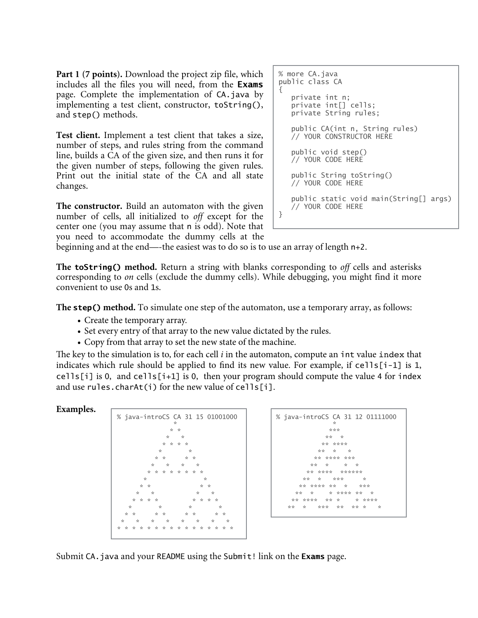**Part 1 (7 points).** Download the project zip file, which includes all the files you will need, from the Exams page. Complete the implementation of CA.java by implementing a test client, constructor, toString(), and step() methods.

**Test client.** Implement a test client that takes a size, number of steps, and rules string from the command line, builds a CA of the given size, and then runs it for the given number of steps, following the given rules. Print out the initial state of the CA and all state changes.

**The constructor.** Build an automaton with the given number of cells, all initialized to *off* except for the center one (you may assume that n is odd). Note that you need to accommodate the dummy cells at the

```
% more CA.java 
public class CA 
{ 
    private int n; 
    private int[] cells; 
    private String rules; 
    public CA(int n, String rules) 
    // YOUR CONSTRUCTOR HERE 
    public void step() 
    // YOUR CODE HERE 
    public String toString() 
    // YOUR CODE HERE 
    public static void main(String[] args) 
    // YOUR CODE HERE 
}
```
beginning and at the end—-the easiest was to do so is to use an array of length n+2.

**The** toString() **method.** Return a string with blanks corresponding to *off* cells and asterisks corresponding to *on* cells (exclude the dummy cells). While debugging, you might find it more convenient to use 0s and 1s.

**The** step() **method.** To simulate one step of the automaton, use a temporary array, as follows:

- Create the temporary array.
- Set every entry of that array to the new value dictated by the rules.
- Copy from that array to set the new state of the machine.

The key to the simulation is to, for each cell  $i$  in the automaton, compute an  $int$  value index that indicates which rule should be applied to find its new value. For example, if cells[i-1] is 1, cells[i] is 0, and cells[i+1] is 0, then your program should compute the value 4 for index and use rules.charAt(i) for the new value of cells[i].

## **Examples.**



| % java-introCS CA 31 12 01111000<br>÷ |
|---------------------------------------|
| ***                                   |
| ** *                                  |
| ** ****                               |
| ** * *                                |
| ** **** ***                           |
| ** * * *                              |
| ** **** ******                        |
| ** * ***<br><b>Single</b>             |
| ** **** ** * ***                      |
| ** * ***** * *                        |
| ** **** ** * * ****                   |
| * * *** *** ** *                      |
|                                       |

Submit CA. java and your README using the Submit! link on the Exams page.